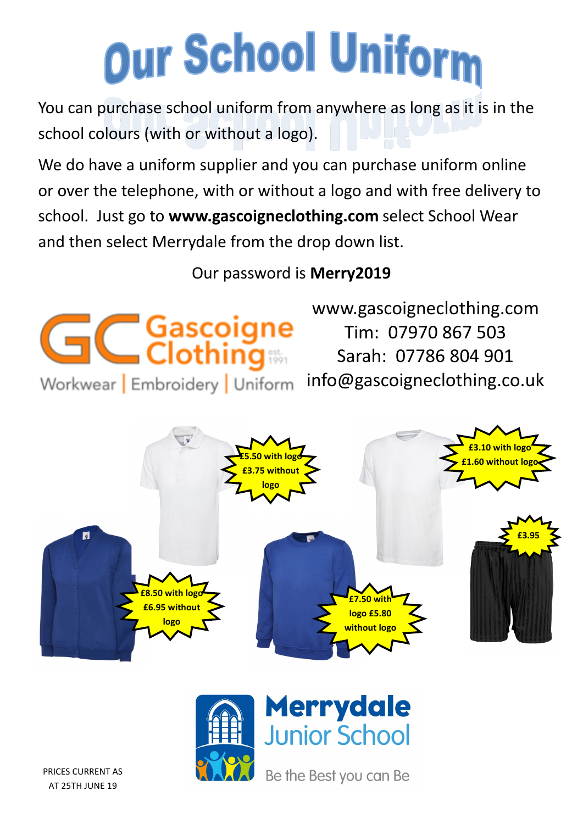# Our School Uniform

You can purchase school uniform from anywhere as long as it is in the school colours (with or without a logo).

We do have a uniform supplier and you can purchase uniform online or over the telephone, with or without a logo and with free delivery to school. Just go to **www.gascoigneclothing.com** select School Wear and then select Merrydale from the drop down list.

## Our password is **Merry2019**